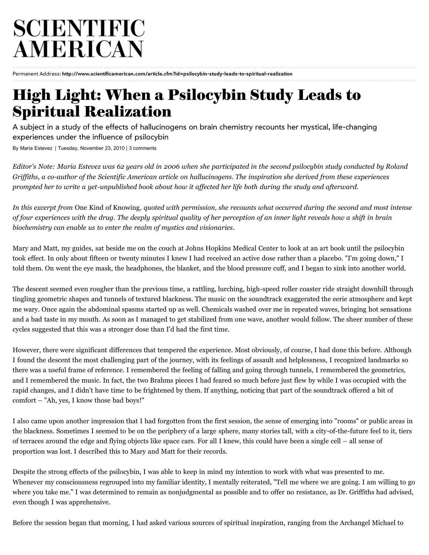## SCIENTIFIC **AMERICAN**

Permanent Address: **<http://www.scientificamerican.com/article.cfm?id=psilocybin-study-leads-to-spiritual-realization>**

## **[High Light: When a Psilocybin Study Leads to](http://www.scientificamerican.com/article.cfm?id=psilocybin-study-leads-to-spiritual-realization&print=true) Spiritual Realization**

A subject in a study of the effects of hallucinogens on brain chemistry recounts her mystical, life-changing experiences under the influence of psilocybin

By [Maria Estevez](http://www.scientificamerican.com/author.cfm?id=2623) | Tuesday, November 23, 2010 | [3 comments](http://www.scientificamerican.com/article.cfm?id=psilocybin-study-leads-to-spiritual-realization&print=true#comments)

*Editor's Note: Maria Estevez was 62 years old in 2006 when she participated in the second psilocybin study conducted by Roland Griffiths, a co-author of the Scientific American article on hallucinogens. The inspiration she derived from these experiences prompted her to write a yet-unpublished book about how it affected her life both during the study and afterward.*

*In this excerpt from* One Kind of Knowing*, quoted with permission, she recounts what occurred during the second and most intense of four experiences with the drug. The deeply spiritual quality of her perception of an inner light reveals how a shift in brain biochemistry can enable us to enter the realm of mystics and visionaries.*

Mary and Matt, my guides, sat beside me on the couch at Johns Hopkins Medical Center to look at an art book until the psilocybin took effect. In only about fifteen or twenty minutes I knew I had received an active dose rather than a placebo. "I'm going down," I told them. On went the eye mask, the headphones, the blanket, and the blood pressure cuff, and I began to sink into another world.

The descent seemed even rougher than the previous time, a rattling, lurching, high-speed roller coaster ride straight downhill through tingling geometric shapes and tunnels of textured blackness. The music on the soundtrack exaggerated the eerie atmosphere and kept me wary. Once again the abdominal spasms started up as well. Chemicals washed over me in repeated waves, bringing hot sensations and a bad taste in my mouth. As soon as I managed to get stabilized from one wave, another would follow. The sheer number of these cycles suggested that this was a stronger dose than I'd had the first time.

However, there were significant differences that tempered the experience. Most obviously, of course, I had done this before. Although I found the descent the most challenging part of the journey, with its feelings of assault and helplessness, I recognized landmarks so there was a useful frame of reference. I remembered the feeling of falling and going through tunnels, I remembered the geometrics, and I remembered the music. In fact, the two Brahms pieces I had feared so much before just flew by while I was occupied with the rapid changes, and I didn't have time to be frightened by them. If anything, noticing that part of the soundtrack offered a bit of comfort – "Ah, yes, I know those bad boys!"

I also came upon another impression that I had forgotten from the first session, the sense of emerging into "rooms" or public areas in the blackness. Sometimes I seemed to be on the periphery of a large sphere, many stories tall, with a city-of-the-future feel to it, tiers of terraces around the edge and flying objects like space cars. For all I knew, this could have been a single cell – all sense of proportion was lost. I described this to Mary and Matt for their records.

Despite the strong effects of the psilocybin, I was able to keep in mind my intention to work with what was presented to me. Whenever my consciousness regrouped into my familiar identity, I mentally reiterated, "Tell me where we are going. I am willing to go where you take me." I was determined to remain as nonjudgmental as possible and to offer no resistance, as Dr. Griffiths had advised, even though I was apprehensive.

Before the session began that morning, I had asked various sources of spiritual inspiration, ranging from the Archangel Michael to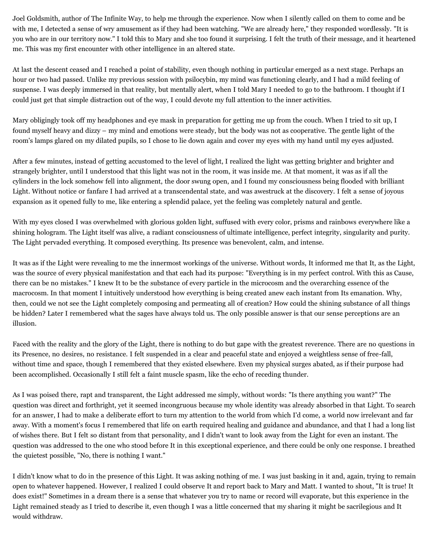Joel Goldsmith, author of The Infinite Way, to help me through the experience. Now when I silently called on them to come and be with me, I detected a sense of wry amusement as if they had been watching. "We are already here," they responded wordlessly. "It is you who are in our territory now." I told this to Mary and she too found it surprising. I felt the truth of their message, and it heartened me. This was my first encounter with other intelligence in an altered state.

At last the descent ceased and I reached a point of stability, even though nothing in particular emerged as a next stage. Perhaps an hour or two had passed. Unlike my previous session with psilocybin, my mind was functioning clearly, and I had a mild feeling of suspense. I was deeply immersed in that reality, but mentally alert, when I told Mary I needed to go to the bathroom. I thought if I could just get that simple distraction out of the way, I could devote my full attention to the inner activities.

Mary obligingly took off my headphones and eye mask in preparation for getting me up from the couch. When I tried to sit up, I found myself heavy and dizzy – my mind and emotions were steady, but the body was not as cooperative. The gentle light of the room's lamps glared on my dilated pupils, so I chose to lie down again and cover my eyes with my hand until my eyes adjusted.

After a few minutes, instead of getting accustomed to the level of light, I realized the light was getting brighter and brighter and strangely brighter, until I understood that this light was not in the room, it was inside me. At that moment, it was as if all the cylinders in the lock somehow fell into alignment, the door swung open, and I found my consciousness being flooded with brilliant Light. Without notice or fanfare I had arrived at a transcendental state, and was awestruck at the discovery. I felt a sense of joyous expansion as it opened fully to me, like entering a splendid palace, yet the feeling was completely natural and gentle.

With my eyes closed I was overwhelmed with glorious golden light, suffused with every color, prisms and rainbows everywhere like a shining hologram. The Light itself was alive, a radiant consciousness of ultimate intelligence, perfect integrity, singularity and purity. The Light pervaded everything. It composed everything. Its presence was benevolent, calm, and intense.

It was as if the Light were revealing to me the innermost workings of the universe. Without words, It informed me that It, as the Light, was the source of every physical manifestation and that each had its purpose: "Everything is in my perfect control. With this as Cause, there can be no mistakes." I knew It to be the substance of every particle in the microcosm and the overarching essence of the macrocosm. In that moment I intuitively understood how everything is being created anew each instant from Its emanation. Why, then, could we not see the Light completely composing and permeating all of creation? How could the shining substance of all things be hidden? Later I remembered what the sages have always told us. The only possible answer is that our sense perceptions are an illusion.

Faced with the reality and the glory of the Light, there is nothing to do but gape with the greatest reverence. There are no questions in its Presence, no desires, no resistance. I felt suspended in a clear and peaceful state and enjoyed a weightless sense of free-fall, without time and space, though I remembered that they existed elsewhere. Even my physical surges abated, as if their purpose had been accomplished. Occasionally I still felt a faint muscle spasm, like the echo of receding thunder.

As I was poised there, rapt and transparent, the Light addressed me simply, without words: "Is there anything you want?" The question was direct and forthright, yet it seemed incongruous because my whole identity was already absorbed in that Light. To search for an answer, I had to make a deliberate effort to turn my attention to the world from which I'd come, a world now irrelevant and far away. With a moment's focus I remembered that life on earth required healing and guidance and abundance, and that I had a long list of wishes there. But I felt so distant from that personality, and I didn't want to look away from the Light for even an instant. The question was addressed to the one who stood before It in this exceptional experience, and there could be only one response. I breathed the quietest possible, "No, there is nothing I want."

I didn't know what to do in the presence of this Light. It was asking nothing of me. I was just basking in it and, again, trying to remain open to whatever happened. However, I realized I could observe It and report back to Mary and Matt. I wanted to shout, "It is true! It does exist!" Sometimes in a dream there is a sense that whatever you try to name or record will evaporate, but this experience in the Light remained steady as I tried to describe it, even though I was a little concerned that my sharing it might be sacrilegious and It would withdraw.